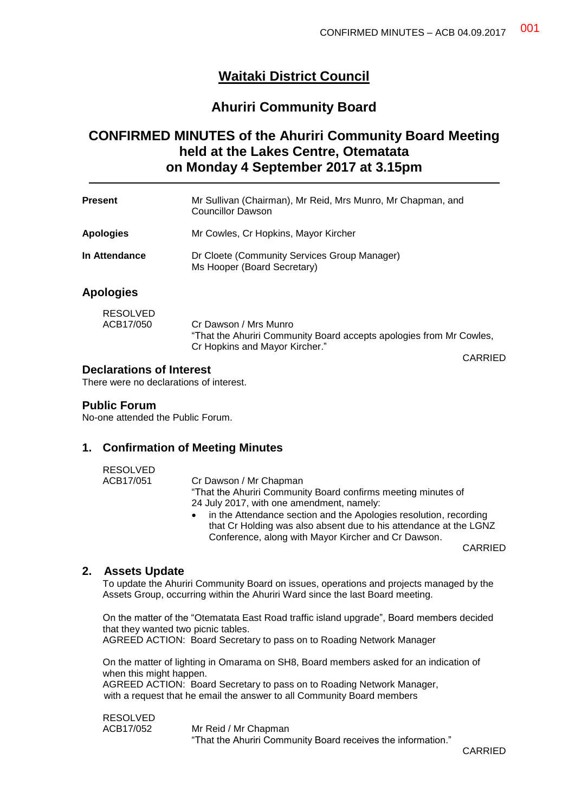# **Waitaki District Council**

## **Ahuriri Community Board**

# **CONFIRMED MINUTES of the Ahuriri Community Board Meeting held at the Lakes Centre, Otematata on Monday 4 September 2017 at 3.15pm**

| Present                      | Mr Sullivan (Chairman), Mr Reid, Mrs Munro, Mr Chapman, and<br>Councillor Dawson |
|------------------------------|----------------------------------------------------------------------------------|
| <b>Apologies</b>             | Mr Cowles, Cr Hopkins, Mayor Kircher                                             |
| In Attendance                | Dr Cloete (Community Services Group Manager)<br>Ms Hooper (Board Secretary)      |
| <b>Apologies</b>             |                                                                                  |
| <b>RESOLVED</b><br>ACB17/050 | Cr Dawson / Mrs Munro                                                            |

Cr Hopkins and Mayor Kircher."

## **Declarations of Interest**

There were no declarations of interest.

#### **Public Forum**

No-one attended the Public Forum.

## **1. Confirmation of Meeting Minutes**

| <b>RESOLVED</b> |                                                               |
|-----------------|---------------------------------------------------------------|
| ACB17/051       | Cr Dawson / Mr Chapman                                        |
|                 | "That the Ahuriri Community Board confirms meeting minutes of |
|                 | 24 July 2017, with one amendment, namely:                     |
|                 | in the Attendance section and the Anologies resolution record |

uance section and the Apologies resolution, recording that Cr Holding was also absent due to his attendance at the LGNZ Conference, along with Mayor Kircher and Cr Dawson.

"That the Ahuriri Community Board accepts apologies from Mr Cowles,

CARRIED

CARRIED

## **2. Assets Update**

To update the Ahuriri Community Board on issues, operations and projects managed by the Assets Group, occurring within the Ahuriri Ward since the last Board meeting.

On the matter of the "Otematata East Road traffic island upgrade", Board members decided that they wanted two picnic tables.

AGREED ACTION: Board Secretary to pass on to Roading Network Manager

On the matter of lighting in Omarama on SH8, Board members asked for an indication of when this might happen. AGREED ACTION: Board Secretary to pass on to Roading Network Manager,

with a request that he email the answer to all Community Board members

RESOLVED

ACB17/052 Mr Reid / Mr Chapman "That the Ahuriri Community Board receives the information."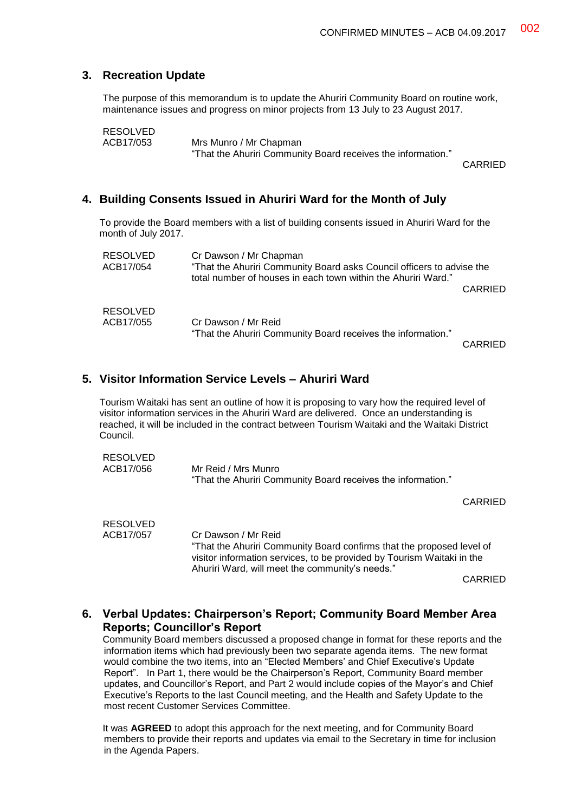## **3. Recreation Update**

The purpose of this memorandum is to update the Ahuriri Community Board on routine work, maintenance issues and progress on minor projects from 13 July to 23 August 2017.

```
RESOLVED<br>ACB17/053
```
Mrs Munro / Mr Chapman "That the Ahuriri Community Board receives the information."

CARRIED

## **4. Building Consents Issued in Ahuriri Ward for the Month of July**

To provide the Board members with a list of building consents issued in Ahuriri Ward for the month of July 2017.

| <b>RESOLVED</b><br>ACB17/054 | Cr Dawson / Mr Chapman<br>"That the Ahuriri Community Board asks Council officers to advise the<br>total number of houses in each town within the Ahuriri Ward." |         |
|------------------------------|------------------------------------------------------------------------------------------------------------------------------------------------------------------|---------|
|                              |                                                                                                                                                                  | CARRIED |
| <b>RESOLVED</b><br>ACB17/055 | Cr Dawson / Mr Reid<br>"That the Ahuriri Community Board receives the information."                                                                              | CADDIEN |

CARRIED

## **5. Visitor Information Service Levels – Ahuriri Ward**

Tourism Waitaki has sent an outline of how it is proposing to vary how the required level of visitor information services in the Ahuriri Ward are delivered. Once an understanding is reached, it will be included in the contract between Tourism Waitaki and the Waitaki District Council.

| RESOLVED  |                                                              |
|-----------|--------------------------------------------------------------|
| ACB17/056 | Mr Reid / Mrs Munro                                          |
|           | "That the Ahuriri Community Board receives the information." |

CARRIED

| <b>RESOLVED</b> |                                                                                                                                                 |
|-----------------|-------------------------------------------------------------------------------------------------------------------------------------------------|
| ACB17/057       | Cr Dawson / Mr Reid                                                                                                                             |
|                 | "That the Ahuriri Community Board confirms that the proposed level of<br>visitor information services, to be provided by Tourism Waitaki in the |
|                 | Ahuriri Ward, will meet the community's needs."                                                                                                 |
|                 | <b>AIRRIFF</b>                                                                                                                                  |

CARRIED

## **6. Verbal Updates: Chairperson's Report; Community Board Member Area Reports; Councillor's Report**

Community Board members discussed a proposed change in format for these reports and the information items which had previously been two separate agenda items. The new format would combine the two items, into an "Elected Members' and Chief Executive's Update Report". In Part 1, there would be the Chairperson's Report, Community Board member updates, and Councillor's Report, and Part 2 would include copies of the Mayor's and Chief Executive's Reports to the last Council meeting, and the Health and Safety Update to the most recent Customer Services Committee.

It was **AGREED** to adopt this approach for the next meeting, and for Community Board members to provide their reports and updates via email to the Secretary in time for inclusion in the Agenda Papers.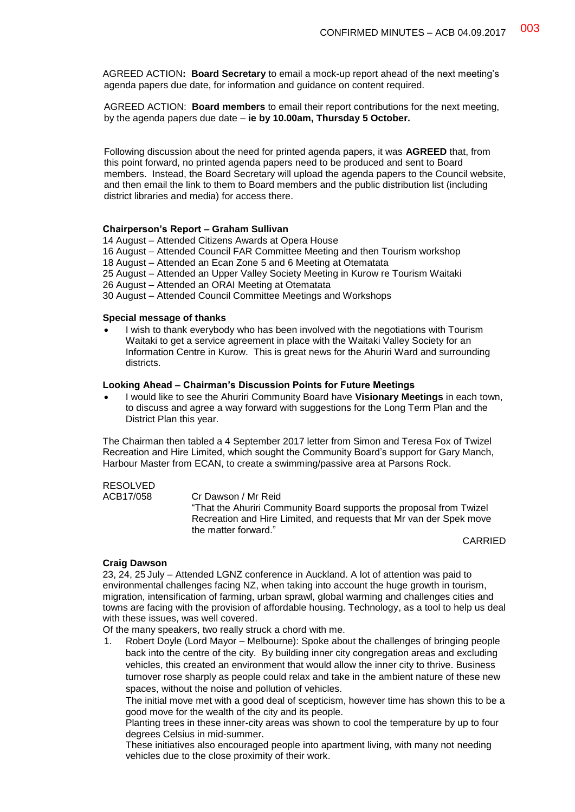AGREED ACTION**: Board Secretary** to email a mock-up report ahead of the next meeting's agenda papers due date, for information and guidance on content required.

AGREED ACTION: **Board members** to email their report contributions for the next meeting, by the agenda papers due date – **ie by 10.00am, Thursday 5 October.**

Following discussion about the need for printed agenda papers, it was **AGREED** that, from this point forward, no printed agenda papers need to be produced and sent to Board members. Instead, the Board Secretary will upload the agenda papers to the Council website, and then email the link to them to Board members and the public distribution list (including district libraries and media) for access there.

#### **Chairperson's Report – Graham Sullivan**

14 August – Attended Citizens Awards at Opera House

16 August – Attended Council FAR Committee Meeting and then Tourism workshop

18 August – Attended an Ecan Zone 5 and 6 Meeting at Otematata

25 August – Attended an Upper Valley Society Meeting in Kurow re Tourism Waitaki

26 August – Attended an ORAI Meeting at Otematata

30 August – Attended Council Committee Meetings and Workshops

#### **Special message of thanks**

 I wish to thank everybody who has been involved with the negotiations with Tourism Waitaki to get a service agreement in place with the Waitaki Valley Society for an Information Centre in Kurow. This is great news for the Ahuriri Ward and surrounding districts.

#### **Looking Ahead – Chairman's Discussion Points for Future Meetings**

 I would like to see the Ahuriri Community Board have **Visionary Meetings** in each town, to discuss and agree a way forward with suggestions for the Long Term Plan and the District Plan this year.

The Chairman then tabled a 4 September 2017 letter from Simon and Teresa Fox of Twizel Recreation and Hire Limited, which sought the Community Board's support for Gary Manch, Harbour Master from ECAN, to create a swimming/passive area at Parsons Rock.

# RESOLVED<br>ACB17/058

Cr Dawson / Mr Reid "That the Ahuriri Community Board supports the proposal from Twizel Recreation and Hire Limited, and requests that Mr van der Spek move the matter forward."

CARRIED

#### **Craig Dawson**

23, 24, 25 July – Attended LGNZ conference in Auckland. A lot of attention was paid to environmental challenges facing NZ, when taking into account the huge growth in tourism, migration, intensification of farming, urban sprawl, global warming and challenges cities and towns are facing with the provision of affordable housing. Technology, as a tool to help us deal with these issues, was well covered.

Of the many speakers, two really struck a chord with me.

1. Robert Doyle (Lord Mayor – Melbourne): Spoke about the challenges of bringing people back into the centre of the city. By building inner city congregation areas and excluding vehicles, this created an environment that would allow the inner city to thrive. Business turnover rose sharply as people could relax and take in the ambient nature of these new spaces, without the noise and pollution of vehicles.

The initial move met with a good deal of scepticism, however time has shown this to be a good move for the wealth of the city and its people.

Planting trees in these inner-city areas was shown to cool the temperature by up to four degrees Celsius in mid-summer.

These initiatives also encouraged people into apartment living, with many not needing vehicles due to the close proximity of their work.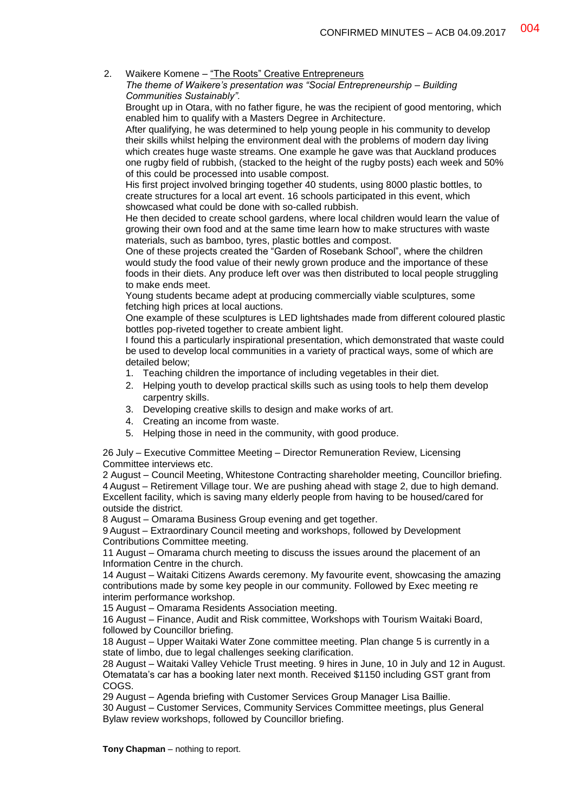2. Waikere Komene – "The Roots" Creative Entrepreneurs

*The theme of Waikere's presentation was "Social Entrepreneurship – Building Communities Sustainably".*

Brought up in Otara, with no father figure, he was the recipient of good mentoring, which enabled him to qualify with a Masters Degree in Architecture.

After qualifying, he was determined to help young people in his community to develop their skills whilst helping the environment deal with the problems of modern day living which creates huge waste streams. One example he gave was that Auckland produces one rugby field of rubbish, (stacked to the height of the rugby posts) each week and 50% of this could be processed into usable compost.

His first project involved bringing together 40 students, using 8000 plastic bottles, to create structures for a local art event. 16 schools participated in this event, which showcased what could be done with so-called rubbish.

He then decided to create school gardens, where local children would learn the value of growing their own food and at the same time learn how to make structures with waste materials, such as bamboo, tyres, plastic bottles and compost.

One of these projects created the "Garden of Rosebank School", where the children would study the food value of their newly grown produce and the importance of these foods in their diets. Any produce left over was then distributed to local people struggling to make ends meet.

Young students became adept at producing commercially viable sculptures, some fetching high prices at local auctions.

One example of these sculptures is LED lightshades made from different coloured plastic bottles pop-riveted together to create ambient light.

I found this a particularly inspirational presentation, which demonstrated that waste could be used to develop local communities in a variety of practical ways, some of which are detailed below;

- 1. Teaching children the importance of including vegetables in their diet.
- 2. Helping youth to develop practical skills such as using tools to help them develop carpentry skills.
- 3. Developing creative skills to design and make works of art.
- 4. Creating an income from waste.
- 5. Helping those in need in the community, with good produce.

26 July – Executive Committee Meeting – Director Remuneration Review, Licensing Committee interviews etc.

2 August – Council Meeting, Whitestone Contracting shareholder meeting, Councillor briefing. 4 August – Retirement Village tour. We are pushing ahead with stage 2, due to high demand. Excellent facility, which is saving many elderly people from having to be housed/cared for outside the district.

8 August – Omarama Business Group evening and get together.

9 August – Extraordinary Council meeting and workshops, followed by Development Contributions Committee meeting.

11 August – Omarama church meeting to discuss the issues around the placement of an Information Centre in the church.

14 August – Waitaki Citizens Awards ceremony. My favourite event, showcasing the amazing contributions made by some key people in our community. Followed by Exec meeting re interim performance workshop.

15 August – Omarama Residents Association meeting.

16 August – Finance, Audit and Risk committee, Workshops with Tourism Waitaki Board, followed by Councillor briefing.

18 August – Upper Waitaki Water Zone committee meeting. Plan change 5 is currently in a state of limbo, due to legal challenges seeking clarification.

28 August – Waitaki Valley Vehicle Trust meeting. 9 hires in June, 10 in July and 12 in August. Otematata's car has a booking later next month. Received \$1150 including GST grant from COGS.

29 August – Agenda briefing with Customer Services Group Manager Lisa Baillie.

30 August – Customer Services, Community Services Committee meetings, plus General Bylaw review workshops, followed by Councillor briefing.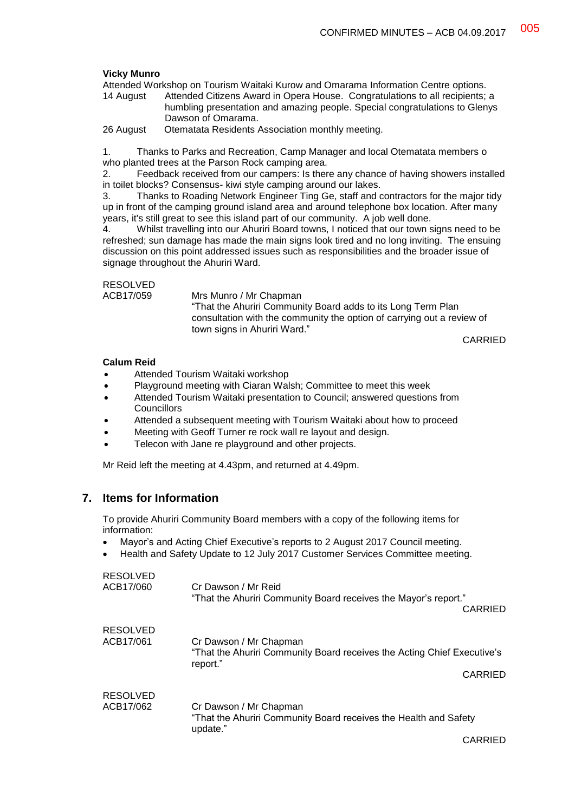#### **Vicky Munro**

Attended Workshop on Tourism Waitaki Kurow and Omarama Information Centre options.

14 August Attended Citizens Award in Opera House. Congratulations to all recipients; a humbling presentation and amazing people. Special congratulations to Glenys Dawson of Omarama.

26 August Otematata Residents Association monthly meeting.

1. Thanks to Parks and Recreation, Camp Manager and local Otematata members o who planted trees at the Parson Rock camping area.

2. Feedback received from our campers: Is there any chance of having showers installed in toilet blocks? Consensus- kiwi style camping around our lakes.

3. Thanks to Roading Network Engineer Ting Ge, staff and contractors for the major tidy up in front of the camping ground island area and around telephone box location. After many years, it's still great to see this island part of our community. A job well done.

4. Whilst travelling into our Ahuriri Board towns, I noticed that our town signs need to be refreshed; sun damage has made the main signs look tired and no long inviting. The ensuing discussion on this point addressed issues such as responsibilities and the broader issue of signage throughout the Ahuriri Ward.

RESOLVED

ACB17/059 Mrs Munro / Mr Chapman "That the Ahuriri Community Board adds to its Long Term Plan consultation with the community the option of carrying out a review of town signs in Ahuriri Ward."

CARRIED

#### **Calum Reid**

- Attended Tourism Waitaki workshop
- Playground meeting with Ciaran Walsh; Committee to meet this week
- Attended Tourism Waitaki presentation to Council; answered questions from **Councillors**
- Attended a subsequent meeting with Tourism Waitaki about how to proceed
- Meeting with Geoff Turner re rock wall re layout and design.
- Telecon with Jane re playground and other projects.

Mr Reid left the meeting at 4.43pm, and returned at 4.49pm.

## **7. Items for Information**

To provide Ahuriri Community Board members with a copy of the following items for information:

- Mayor's and Acting Chief Executive's reports to 2 August 2017 Council meeting.
- Health and Safety Update to 12 July 2017 Customer Services Committee meeting.

| <b>RESOLVED</b><br>ACB17/060 | Cr Dawson / Mr Reid<br>"That the Ahuriri Community Board receives the Mayor's report."<br>CARRIED                        |
|------------------------------|--------------------------------------------------------------------------------------------------------------------------|
| <b>RESOLVED</b><br>ACB17/061 | Cr Dawson / Mr Chapman<br>"That the Ahuriri Community Board receives the Acting Chief Executive's<br>report."<br>CARRIED |
|                              |                                                                                                                          |
| <b>RESOLVED</b><br>ACB17/062 | Cr Dawson / Mr Chapman<br>"That the Ahuriri Community Board receives the Health and Safety<br>update."                   |
|                              | CARRIED                                                                                                                  |